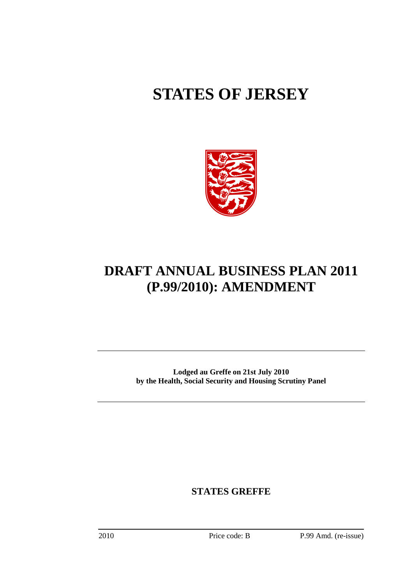# **STATES OF JERSEY**



# **DRAFT ANNUAL BUSINESS PLAN 2011 (P.99/2010): AMENDMENT**

**Lodged au Greffe on 21st July 2010 by the Health, Social Security and Housing Scrutiny Panel** 

**STATES GREFFE**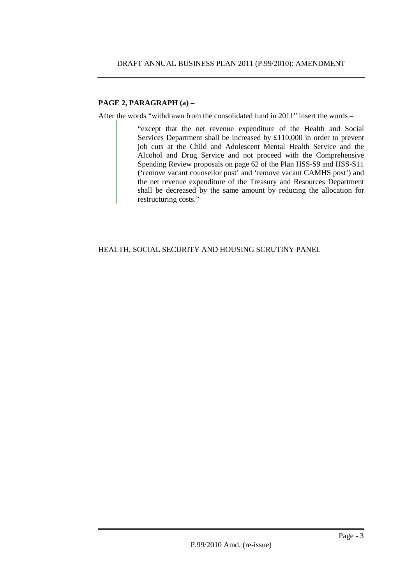# **PAGE 2, PARAGRAPH (a) –**

After the words "withdrawn from the consolidated fund in 2011" insert the words –

"except that the net revenue expenditure of the Health and Social Services Department shall be increased by £110,000 in order to prevent job cuts at the Child and Adolescent Mental Health Service and the Alcohol and Drug Service and not proceed with the Comprehensive Spending Review proposals on page 62 of the Plan HSS-S9 and HSS-S11 ('remove vacant counsellor post' and 'remove vacant CAMHS post') and the net revenue expenditure of the Treasury and Resources Department shall be decreased by the same amount by reducing the allocation for restructuring costs."

HEALTH, SOCIAL SECURITY AND HOUSING SCRUTINY PANEL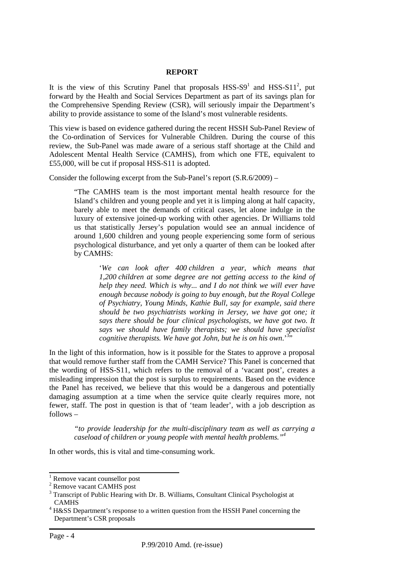#### **REPORT**

It is the view of this Scrutiny Panel that proposals  $HSS-S9<sup>1</sup>$  and  $HSS-S11<sup>2</sup>$ , put forward by the Health and Social Services Department as part of its savings plan for the Comprehensive Spending Review (CSR), will seriously impair the Department's ability to provide assistance to some of the Island's most vulnerable residents.

This view is based on evidence gathered during the recent HSSH Sub-Panel Review of the Co-ordination of Services for Vulnerable Children. During the course of this review, the Sub-Panel was made aware of a serious staff shortage at the Child and Adolescent Mental Health Service (CAMHS), from which one FTE, equivalent to £55,000, will be cut if proposal HSS-S11 is adopted.

Consider the following excerpt from the Sub-Panel's report (S.R.6/2009) –

"The CAMHS team is the most important mental health resource for the Island's children and young people and yet it is limping along at half capacity, barely able to meet the demands of critical cases, let alone indulge in the luxury of extensive joined-up working with other agencies. Dr Williams told us that statistically Jersey's population would see an annual incidence of around 1,600 children and young people experiencing some form of serious psychological disturbance, and yet only a quarter of them can be looked after by CAMHS:

> '*We can look after 400 children a year, which means that 1,200 children at some degree are not getting access to the kind of help they need. Which is why... and I do not think we will ever have enough because nobody is going to buy enough, but the Royal College of Psychiatry, Young Minds, Kathie Bull, say for example, said there should be two psychiatrists working in Jersey, we have got one; it says there should be four clinical psychologists, we have got two. It says we should have family therapists; we should have specialist*  cognitive therapists. We have got John, but he is on his own.<sup>33,</sup>

In the light of this information, how is it possible for the States to approve a proposal that would remove further staff from the CAMH Service? This Panel is concerned that the wording of HSS-S11, which refers to the removal of a 'vacant post', creates a misleading impression that the post is surplus to requirements. Based on the evidence the Panel has received, we believe that this would be a dangerous and potentially damaging assumption at a time when the service quite clearly requires more, not fewer, staff. The post in question is that of 'team leader', with a job description as follows –

*"to provide leadership for the multi-disciplinary team as well as carrying a caseload of children or young people with mental health problems."<sup>4</sup>*

In other words, this is vital and time-consuming work.

<sup>&</sup>lt;sup>1</sup> Remove vacant counsellor post

<sup>&</sup>lt;sup>2</sup> Remove vacant CAMHS post

<sup>&</sup>lt;sup>3</sup> Transcript of Public Hearing with Dr. B. Williams, Consultant Clinical Psychologist at CAMHS

<sup>&</sup>lt;sup>4</sup> H&SS Department's response to a written question from the HSSH Panel concerning the Department's CSR proposals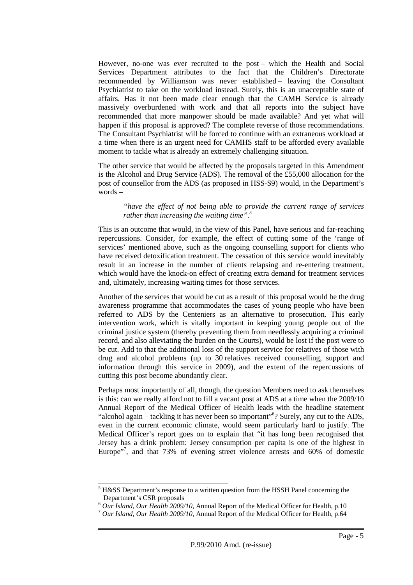However, no-one was ever recruited to the post – which the Health and Social Services Department attributes to the fact that the Children's Directorate recommended by Williamson was never established – leaving the Consultant Psychiatrist to take on the workload instead. Surely, this is an unacceptable state of affairs. Has it not been made clear enough that the CAMH Service is already massively overburdened with work and that all reports into the subject have recommended that more manpower should be made available? And yet what will happen if this proposal is approved? The complete reverse of those recommendations. The Consultant Psychiatrist will be forced to continue with an extraneous workload at a time when there is an urgent need for CAMHS staff to be afforded every available moment to tackle what is already an extremely challenging situation.

The other service that would be affected by the proposals targeted in this Amendment is the Alcohol and Drug Service (ADS). The removal of the £55,000 allocation for the post of counsellor from the ADS (as proposed in HSS-S9) would, in the Department's words –

*"have the effect of not being able to provide the current range of services rather than increasing the waiting time".<sup>5</sup>*

This is an outcome that would, in the view of this Panel, have serious and far-reaching repercussions. Consider, for example, the effect of cutting some of the 'range of services' mentioned above, such as the ongoing counselling support for clients who have received detoxification treatment. The cessation of this service would inevitably result in an increase in the number of clients relapsing and re-entering treatment, which would have the knock-on effect of creating extra demand for treatment services and, ultimately, increasing waiting times for those services.

Another of the services that would be cut as a result of this proposal would be the drug awareness programme that accommodates the cases of young people who have been referred to ADS by the Centeniers as an alternative to prosecution. This early intervention work, which is vitally important in keeping young people out of the criminal justice system (thereby preventing them from needlessly acquiring a criminal record, and also alleviating the burden on the Courts), would be lost if the post were to be cut. Add to that the additional loss of the support service for relatives of those with drug and alcohol problems (up to 30 relatives received counselling, support and information through this service in 2009), and the extent of the repercussions of cutting this post become abundantly clear.

Perhaps most importantly of all, though, the question Members need to ask themselves is this: can we really afford not to fill a vacant post at ADS at a time when the 2009/10 Annual Report of the Medical Officer of Health leads with the headline statement "alcohol again – tackling it has never been so important"<sup>6</sup>? Surely, any cut to the ADS, even in the current economic climate, would seem particularly hard to justify. The Medical Officer's report goes on to explain that "it has long been recognised that Jersey has a drink problem: Jersey consumption per capita is one of the highest in Europe"<sup>7</sup>, and that 73% of evening street violence arrests and 60% of domestic

<sup>&</sup>lt;sup>5</sup> H&SS Department's response to a written question from the HSSH Panel concerning the Department's CSR proposals

<sup>6</sup> *Our Island, Our Health 2009/10*, Annual Report of the Medical Officer for Health, p.10

<sup>7</sup> *Our Island, Our Health 2009/10*, Annual Report of the Medical Officer for Health, p.64